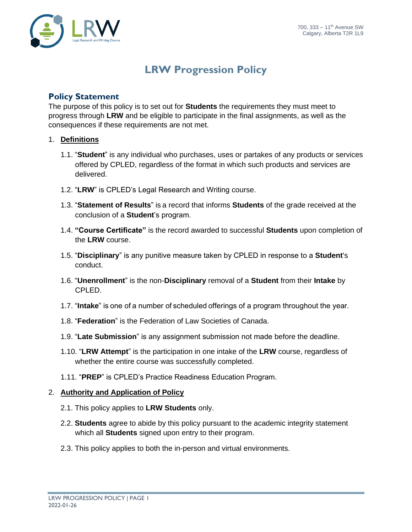

## **LRW Progression Policy**

## **Policy Statement**

The purpose of this policy is to set out for **Students** the requirements they must meet to progress through **LRW** and be eligible to participate in the final assignments, as well as the consequences if these requirements are not met.

## 1. **Definitions**

- 1.1. "**Student**" is any individual who purchases, uses or partakes of any products or services offered by CPLED, regardless of the format in which such products and services are delivered.
- 1.2. "**LRW**" is CPLED's Legal Research and Writing course.
- 1.3. "**Statement of Results**" is a record that informs **Students** of the grade received at the conclusion of a **Student**'s program.
- 1.4. **"Course Certificate"** is the record awarded to successful **Students** upon completion of the **LRW** course.
- 1.5. "**Disciplinary**" is any punitive measure taken by CPLED in response to a **Student**'s conduct.
- 1.6. "**Unenrollment**" is the non-**Disciplinary** removal of a **Student** from their **Intake** by CPLED.
- 1.7. "**Intake**" is one of a number of scheduled offerings of a program throughout the year.
- 1.8. "**Federation**" is the Federation of Law Societies of Canada.
- 1.9. "**Late Submission**" is any assignment submission not made before the deadline.
- 1.10. "**LRW Attempt**" is the participation in one intake of the **LRW** course, regardless of whether the entire course was successfully completed.
- 1.11. "**PREP**" is CPLED's Practice Readiness Education Program.

## 2. **Authority and Application of Policy**

- 2.1. This policy applies to **LRW Students** only.
- 2.2. **Students** agree to abide by this policy pursuant to the academic integrity statement which all **Students** signed upon entry to their program.
- 2.3. This policy applies to both the in-person and virtual environments.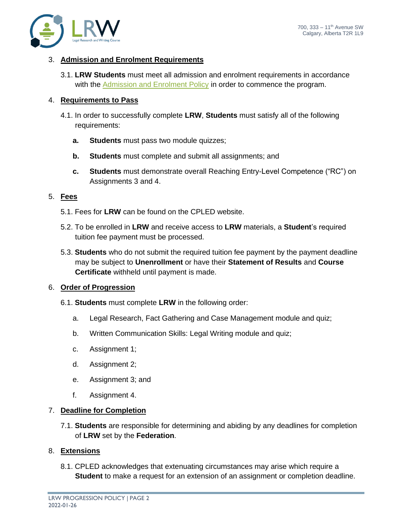## 3. **Admission and Enrolment Requirements**

3.1. **LRW Students** must meet all admission and enrolment requirements in accordance with the [Admission and Enrolment Policy](https://cpled.ca/students/policies-and-procedures/) in order to commence the program.

## 4. **Requirements to Pass**

- 4.1. In order to successfully complete **LRW**, **Students** must satisfy all of the following requirements:
	- **a. Students** must pass two module quizzes;
	- **b. Students** must complete and submit all assignments; and
	- **c. Students** must demonstrate overall Reaching Entry-Level Competence ("RC") on Assignments 3 and 4.

## 5. **Fees**

- 5.1. Fees for **LRW** can be found on the CPLED website.
- 5.2. To be enrolled in **LRW** and receive access to **LRW** materials, a **Student**'s required tuition fee payment must be processed.
- 5.3. **Students** who do not submit the required tuition fee payment by the payment deadline may be subject to **Unenrollment** or have their **Statement of Results** and **Course Certificate** withheld until payment is made.

## 6. **Order of Progression**

- 6.1. **Students** must complete **LRW** in the following order:
	- a. Legal Research, Fact Gathering and Case Management module and quiz;
	- b. Written Communication Skills: Legal Writing module and quiz;
	- c. Assignment 1;
	- d. Assignment 2;
	- e. Assignment 3; and
	- f. Assignment 4.

## 7. **Deadline for Completion**

7.1. **Students** are responsible for determining and abiding by any deadlines for completion of **LRW** set by the **Federation**.

## 8. **Extensions**

8.1. CPLED acknowledges that extenuating circumstances may arise which require a **Student** to make a request for an extension of an assignment or completion deadline.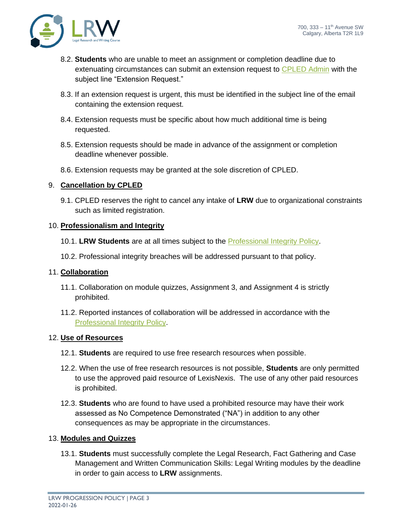

- 8.2. **Students** who are unable to meet an assignment or completion deadline due to extenuating circumstances can submit an extension request to **CPLED** Admin with the subject line "Extension Request."
- 8.3. If an extension request is urgent, this must be identified in the subject line of the email containing the extension request.
- 8.4. Extension requests must be specific about how much additional time is being requested.
- 8.5. Extension requests should be made in advance of the assignment or completion deadline whenever possible.
- 8.6. Extension requests may be granted at the sole discretion of CPLED.

## 9. **Cancellation by CPLED**

9.1. CPLED reserves the right to cancel any intake of **LRW** due to organizational constraints such as limited registration.

## 10. **Professionalism and Integrity**

- 10.1. **LRW Students** are at all times subject to the [Professional Integrity Policy.](https://cpled.ca/students/policies-and-procedures/)
- 10.2. Professional integrity breaches will be addressed pursuant to that policy.

## 11. **Collaboration**

- 11.1. Collaboration on module quizzes, Assignment 3, and Assignment 4 is strictly prohibited.
- 11.2. Reported instances of collaboration will be addressed in accordance with the [Professional Integrity Policy.](https://cpled.ca/students/policies-and-procedures/)

## 12. **Use of Resources**

- 12.1. **Students** are required to use free research resources when possible.
- 12.2. When the use of free research resources is not possible, **Students** are only permitted to use the approved paid resource of LexisNexis. The use of any other paid resources is prohibited.
- 12.3. **Students** who are found to have used a prohibited resource may have their work assessed as No Competence Demonstrated ("NA") in addition to any other consequences as may be appropriate in the circumstances.

## 13. **Modules and Quizzes**

13.1. **Students** must successfully complete the Legal Research, Fact Gathering and Case Management and Written Communication Skills: Legal Writing modules by the deadline in order to gain access to **LRW** assignments.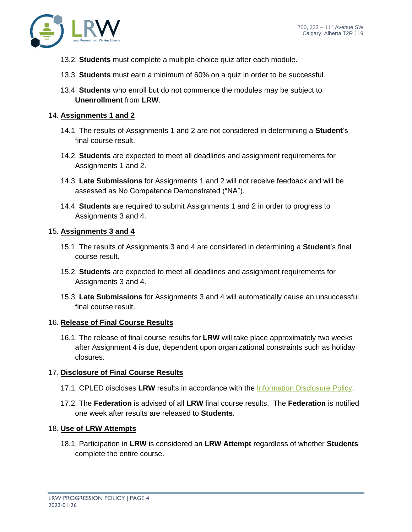

- 13.2. **Students** must complete a multiple-choice quiz after each module.
- 13.3. **Students** must earn a minimum of 60% on a quiz in order to be successful.
- 13.4. **Students** who enroll but do not commence the modules may be subject to **Unenrollment** from **LRW**.

#### 14. **Assignments 1 and 2**

- 14.1. The results of Assignments 1 and 2 are not considered in determining a **Student**'s final course result.
- 14.2. **Students** are expected to meet all deadlines and assignment requirements for Assignments 1 and 2.
- 14.3. **Late Submissions** for Assignments 1 and 2 will not receive feedback and will be assessed as No Competence Demonstrated ("NA").
- 14.4. **Students** are required to submit Assignments 1 and 2 in order to progress to Assignments 3 and 4.

#### 15. **Assignments 3 and 4**

- 15.1. The results of Assignments 3 and 4 are considered in determining a **Student**'s final course result.
- 15.2. **Students** are expected to meet all deadlines and assignment requirements for Assignments 3 and 4.
- 15.3. **Late Submissions** for Assignments 3 and 4 will automatically cause an unsuccessful final course result.

#### 16. **Release of Final Course Results**

16.1. The release of final course results for **LRW** will take place approximately two weeks after Assignment 4 is due, dependent upon organizational constraints such as holiday closures.

## 17. **Disclosure of Final Course Results**

- 17.1. CPLED discloses **LRW** results in accordance with the [Information Disclosure Policy.](https://cpled.ca/students/policies-and-procedures/)
- 17.2. The **Federation** is advised of all **LRW** final course results. The **Federation** is notified one week after results are released to **Students**.

## 18. **Use of LRW Attempts**

18.1. Participation in **LRW** is considered an **LRW Attempt** regardless of whether **Students** complete the entire course.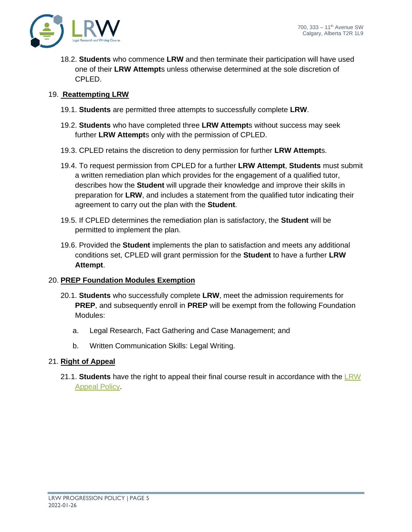

18.2. **Students** who commence **LRW** and then terminate their participation will have used one of their **LRW Attempt**s unless otherwise determined at the sole discretion of CPLED.

## 19. **Reattempting LRW**

- 19.1. **Students** are permitted three attempts to successfully complete **LRW**.
- 19.2. **Students** who have completed three **LRW Attempt**s without success may seek further **LRW Attempt**s only with the permission of CPLED.
- 19.3. CPLED retains the discretion to deny permission for further **LRW Attempt**s.
- 19.4. To request permission from CPLED for a further **LRW Attempt**, **Students** must submit a written remediation plan which provides for the engagement of a qualified tutor, describes how the **Student** will upgrade their knowledge and improve their skills in preparation for **LRW**, and includes a statement from the qualified tutor indicating their agreement to carry out the plan with the **Student**.
- 19.5. If CPLED determines the remediation plan is satisfactory, the **Student** will be permitted to implement the plan.
- 19.6. Provided the **Student** implements the plan to satisfaction and meets any additional conditions set, CPLED will grant permission for the **Student** to have a further **LRW Attempt**.

## 20. **PREP Foundation Modules Exemption**

- 20.1. **Students** who successfully complete **LRW**, meet the admission requirements for **PREP**, and subsequently enroll in **PREP** will be exempt from the following Foundation Modules:
	- a. Legal Research, Fact Gathering and Case Management; and
	- b. Written Communication Skills: Legal Writing.

## 21. **Right of Appeal**

21.1. **Students** have the right to appeal their final course result in accordance with the [LRW](https://cpled.ca/students/policies-and-procedures/)  [Appeal Policy.](https://cpled.ca/students/policies-and-procedures/)